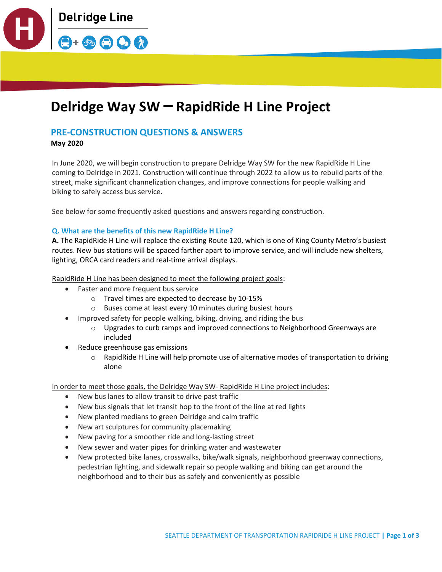

# **Delridge Way SW – RapidRide H Line Project**

# **PRE-CONSTRUCTION QUESTIONS & ANSWERS**

**May 2020**

In June 2020, we will begin construction to prepare Delridge Way SW for the new RapidRide H Line coming to Delridge in 2021. Construction will continue through 2022 to allow us to rebuild parts of the street, make significant channelization changes, and improve connections for people walking and biking to safely access bus service.

See below for some frequently asked questions and answers regarding construction.

# **Q. What are the benefits of this new RapidRide H Line?**

**A.** The RapidRide H Line will replace the existing Route 120, which is one of King County Metro's busiest routes. New bus stations will be spaced farther apart to improve service, and will include new shelters, lighting, ORCA card readers and real-time arrival displays.

RapidRide H Line has been designed to meet the following project goals:

- Faster and more frequent bus service
	- o Travel times are expected to decrease by 10-15%
	- o Buses come at least every 10 minutes during busiest hours
- Improved safety for people walking, biking, driving, and riding the bus
	- o Upgrades to curb ramps and improved connections to Neighborhood Greenways are included
- Reduce greenhouse gas emissions
	- o RapidRide H Line will help promote use of alternative modes of transportation to driving alone

In order to meet those goals, the Delridge Way SW- RapidRide H Line project includes:

- New bus lanes to allow transit to drive past traffic
- New bus signals that let transit hop to the front of the line at red lights
- New planted medians to green Delridge and calm traffic
- New art sculptures for community placemaking
- New paving for a smoother ride and long-lasting street
- New sewer and water pipes for drinking water and wastewater
- New protected bike lanes, crosswalks, bike/walk signals, neighborhood greenway connections, pedestrian lighting, and sidewalk repair so people walking and biking can get around the neighborhood and to their bus as safely and conveniently as possible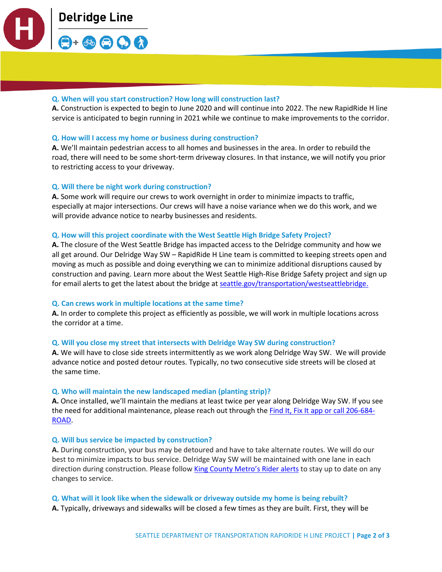

# **Q. When will you start construction? How long will construction last?**

**A.** Construction is expected to begin to June 2020 and will continue into 2022. The new RapidRide H line service is anticipated to begin running in 2021 while we continue to make improvements to the corridor.

#### **Q. How will I access my home or business during construction?**

**A.** We'll maintain pedestrian access to all homes and businesses in the area. In order to rebuild the road, there will need to be some short-term driveway closures. In that instance, we will notify you prior to restricting access to your driveway.

# **Q. Will there be night work during construction?**

**A.** Some work will require our crews to work overnight in order to minimize impacts to traffic, especially at major intersections. Our crews will have a noise variance when we do this work, and we will provide advance notice to nearby businesses and residents.

#### **Q. How will this project coordinate with the West Seattle High Bridge Safety Project?**

**A.** The closure of the West Seattle Bridge has impacted access to the Delridge community and how we all get around. Our Delridge Way SW – RapidRide H Line team is committed to keeping streets open and moving as much as possible and doing everything we can to minimize additional disruptions caused by construction and paving. Learn more about the West Seattle High-Rise Bridge Safety project and sign up for email alerts to get the latest about the bridge a[t seattle.gov/transportation/westseattlebridge.](https://www.seattle.gov/transportation/projects-and-programs/programs/bridges-stairs-and-other-structures/bridges/west-seattle-high-rise-bridge-safety-project)

#### **Q. Can crews work in multiple locations at the same time?**

**A.** In order to complete this project as efficiently as possible, we will work in multiple locations across the corridor at a time.

#### **Q. Will you close my street that intersects with Delridge Way SW during construction?**

**A.** We will have to close side streets intermittently as we work along Delridge Way SW. We will provide advance notice and posted detour routes. Typically, no two consecutive side streets will be closed at the same time.

#### **Q. Who will maintain the new landscaped median (planting strip)?**

**A.** Once installed, we'll maintain the medians at least twice per year along Delridge Way SW. If you see the need for additional maintenance, please reach out through th[e Find It, Fix It app](https://www.seattle.gov/customer-service-bureau/find-it-fix-it-mobile-app) or call 206-684-ROAD.

#### **Q. Will bus service be impacted by construction?**

**A.** During construction, your bus may be detoured and have to take alternate routes. We will do our best to minimize impacts to bus service. Delridge Way SW will be maintained with one lane in each direction during construction. Please follow [King County Metro's Rider alerts](https://www.kingcounty.gov/depts/transportation/metro/alerts-updates.aspx) to stay up to date on any changes to service.

**Q. What will it look like when the sidewalk or driveway outside my home is being rebuilt?**

**A.** Typically, driveways and sidewalks will be closed a few times as they are built. First, they will be